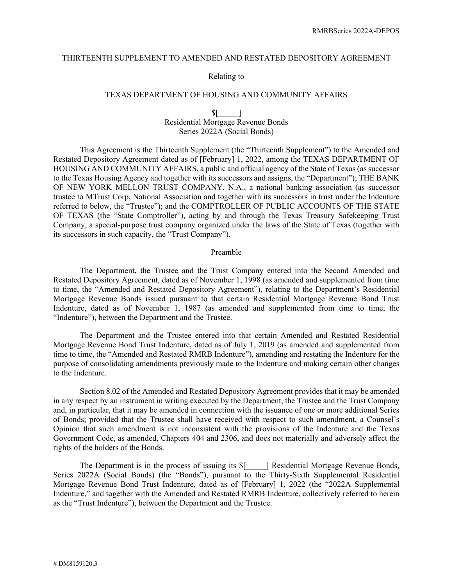## THIRTEENTH SUPPLEMENT TO AMENDED AND RESTATED DEPOSITORY AGREEMENT

#### Relating to

## TEXAS DEPARTMENT OF HOUSING AND COMMUNITY AFFAIRS

## $\mathsf{S}$ [ Residential Mortgage Revenue Bonds Series 2022A (Social Bonds)

This Agreement is the Thirteenth Supplement (the "Thirteenth Supplement") to the Amended and Restated Depository Agreement dated as of [February] 1, 2022, among the TEXAS DEPARTMENT OF HOUSING AND COMMUNITY AFFAIRS, a public and official agency of the State of Texas (as successor to the Texas Housing Agency and together with its successors and assigns, the "Department"); THE BANK OF NEW YORK MELLON TRUST COMPANY, N.A., a national banking association (as successor trustee to MTrust Corp, National Association and together with its successors in trust under the Indenture referred to below, the "Trustee"); and the COMPTROLLER OF PUBLIC ACCOUNTS OF THE STATE OF TEXAS (the "State Comptroller"), acting by and through the Texas Treasury Safekeeping Trust Company, a special-purpose trust company organized under the laws of the State of Texas (together with its successors in such capacity, the "Trust Company").

#### Preamble

The Department, the Trustee and the Trust Company entered into the Second Amended and Restated Depository Agreement, dated as of November 1, 1998 (as amended and supplemented from time to time, the "Amended and Restated Depository Agreement"), relating to the Department's Residential Mortgage Revenue Bonds issued pursuant to that certain Residential Mortgage Revenue Bond Trust Indenture, dated as of November 1, 1987 (as amended and supplemented from time to time, the "Indenture"), between the Department and the Trustee.

The Department and the Trustee entered into that certain Amended and Restated Residential Mortgage Revenue Bond Trust Indenture, dated as of July 1, 2019 (as amended and supplemented from time to time, the "Amended and Restated RMRB Indenture"), amending and restating the Indenture for the purpose of consolidating amendments previously made to the Indenture and making certain other changes to the Indenture.

Section 8.02 of the Amended and Restated Depository Agreement provides that it may be amended in any respect by an instrument in writing executed by the Department, the Trustee and the Trust Company and, in particular, that it may be amended in connection with the issuance of one or more additional Series of Bonds; provided that the Trustee shall have received with respect to such amendment, a Counsel's Opinion that such amendment is not inconsistent with the provisions of the Indenture and the Texas Government Code, as amended, Chapters 404 and 2306, and does not materially and adversely affect the rights of the holders of the Bonds.

The Department is in the process of issuing its  $\mathcal{S}$  | Residential Mortgage Revenue Bonds, Series 2022A (Social Bonds) (the "Bonds"), pursuant to the Thirty-Sixth Supplemental Residential Mortgage Revenue Bond Trust Indenture, dated as of [February] 1, 2022 (the "2022A Supplemental Indenture," and together with the Amended and Restated RMRB Indenture, collectively referred to herein as the "Trust Indenture"), between the Department and the Trustee.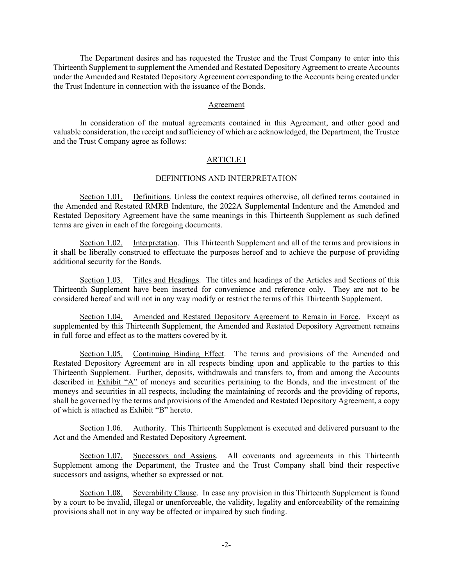The Department desires and has requested the Trustee and the Trust Company to enter into this Thirteenth Supplement to supplement the Amended and Restated Depository Agreement to create Accounts under the Amended and Restated Depository Agreement corresponding to the Accounts being created under the Trust Indenture in connection with the issuance of the Bonds.

#### Agreement

In consideration of the mutual agreements contained in this Agreement, and other good and valuable consideration, the receipt and sufficiency of which are acknowledged, the Department, the Trustee and the Trust Company agree as follows:

#### ARTICLE I

#### DEFINITIONS AND INTERPRETATION

Section 1.01. Definitions. Unless the context requires otherwise, all defined terms contained in the Amended and Restated RMRB Indenture, the 2022A Supplemental Indenture and the Amended and Restated Depository Agreement have the same meanings in this Thirteenth Supplement as such defined terms are given in each of the foregoing documents.

Section 1.02. Interpretation. This Thirteenth Supplement and all of the terms and provisions in it shall be liberally construed to effectuate the purposes hereof and to achieve the purpose of providing additional security for the Bonds.

Section 1.03. Titles and Headings. The titles and headings of the Articles and Sections of this Thirteenth Supplement have been inserted for convenience and reference only. They are not to be considered hereof and will not in any way modify or restrict the terms of this Thirteenth Supplement.

Section 1.04. Amended and Restated Depository Agreement to Remain in Force. Except as supplemented by this Thirteenth Supplement, the Amended and Restated Depository Agreement remains in full force and effect as to the matters covered by it.

Section 1.05. Continuing Binding Effect. The terms and provisions of the Amended and Restated Depository Agreement are in all respects binding upon and applicable to the parties to this Thirteenth Supplement. Further, deposits, withdrawals and transfers to, from and among the Accounts described in Exhibit "A" of moneys and securities pertaining to the Bonds, and the investment of the moneys and securities in all respects, including the maintaining of records and the providing of reports, shall be governed by the terms and provisions of the Amended and Restated Depository Agreement, a copy of which is attached as **Exhibit** "B" hereto.

Section 1.06. Authority. This Thirteenth Supplement is executed and delivered pursuant to the Act and the Amended and Restated Depository Agreement.

Section 1.07. Successors and Assigns. All covenants and agreements in this Thirteenth Supplement among the Department, the Trustee and the Trust Company shall bind their respective successors and assigns, whether so expressed or not.

Section 1.08. Severability Clause. In case any provision in this Thirteenth Supplement is found by a court to be invalid, illegal or unenforceable, the validity, legality and enforceability of the remaining provisions shall not in any way be affected or impaired by such finding.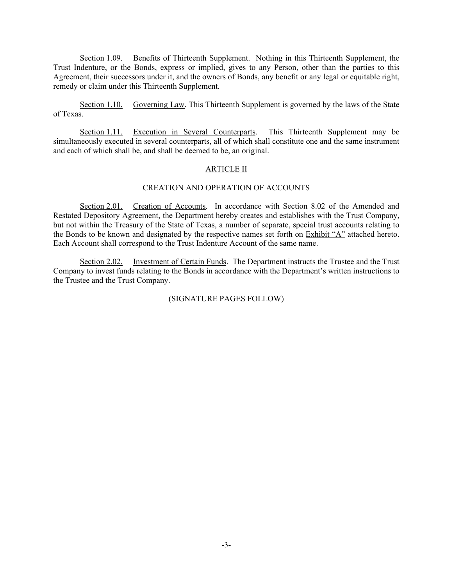Section 1.09. Benefits of Thirteenth Supplement. Nothing in this Thirteenth Supplement, the Trust Indenture, or the Bonds, express or implied, gives to any Person, other than the parties to this Agreement, their successors under it, and the owners of Bonds, any benefit or any legal or equitable right, remedy or claim under this Thirteenth Supplement.

Section 1.10. Governing Law. This Thirteenth Supplement is governed by the laws of the State of Texas.

Section 1.11. Execution in Several Counterparts. This Thirteenth Supplement may be simultaneously executed in several counterparts, all of which shall constitute one and the same instrument and each of which shall be, and shall be deemed to be, an original.

#### ARTICLE II

## CREATION AND OPERATION OF ACCOUNTS

Section 2.01. Creation of Accounts. In accordance with Section 8.02 of the Amended and Restated Depository Agreement, the Department hereby creates and establishes with the Trust Company, but not within the Treasury of the State of Texas, a number of separate, special trust accounts relating to the Bonds to be known and designated by the respective names set forth on Exhibit "A" attached hereto. Each Account shall correspond to the Trust Indenture Account of the same name.

Section 2.02. Investment of Certain Funds. The Department instructs the Trustee and the Trust Company to invest funds relating to the Bonds in accordance with the Department's written instructions to the Trustee and the Trust Company.

## (SIGNATURE PAGES FOLLOW)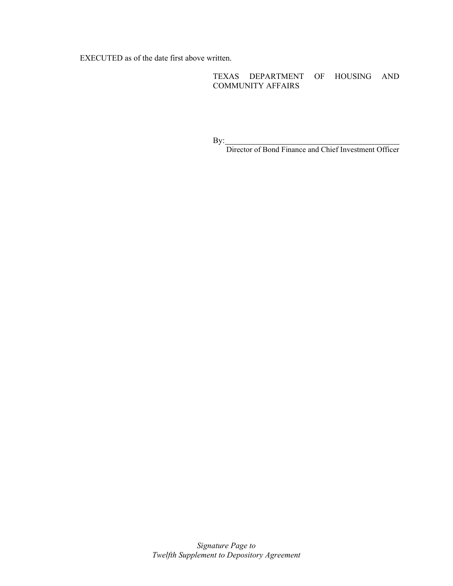EXECUTED as of the date first above written.

TEXAS DEPARTMENT OF HOUSING AND COMMUNITY AFFAIRS

By:

Director of Bond Finance and Chief Investment Officer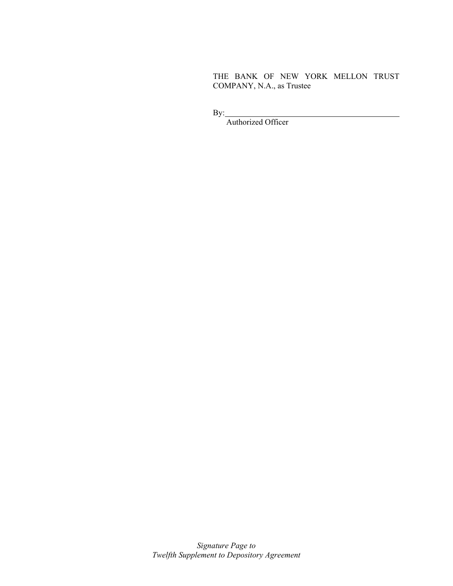THE BANK OF NEW YORK MELLON TRUST COMPANY, N.A., as Trustee

By:

Authorized Officer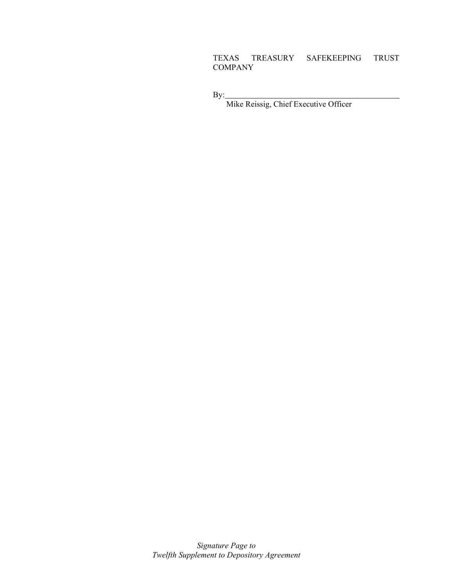# TEXAS TREASURY SAFEKEEPING TRUST COMPANY

By:

Mike Reissig, Chief Executive Officer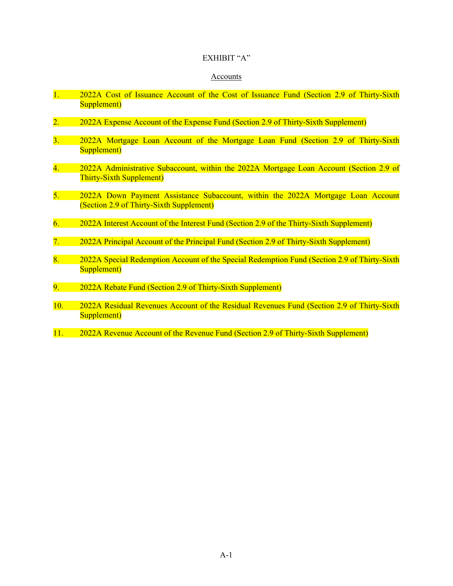# EXHIBIT "A"

#### Accounts

- 1. 2022A Cost of Issuance Account of the Cost of Issuance Fund (Section 2.9 of Thirty-Sixth Supplement)
- 2. 2022A Expense Account of the Expense Fund (Section 2.9 of Thirty-Sixth Supplement)
- 3. 2022A Mortgage Loan Account of the Mortgage Loan Fund (Section 2.9 of Thirty-Sixth Supplement)
- 4. 2022A Administrative Subaccount, within the 2022A Mortgage Loan Account (Section 2.9 of Thirty-Sixth Supplement)
- 5. 2022A Down Payment Assistance Subaccount, within the 2022A Mortgage Loan Account (Section 2.9 of Thirty-Sixth Supplement)
- 6. 2022A Interest Account of the Interest Fund (Section 2.9 of the Thirty-Sixth Supplement)
- 7. 2022A Principal Account of the Principal Fund (Section 2.9 of Thirty-Sixth Supplement)
- 8. 2022A Special Redemption Account of the Special Redemption Fund (Section 2.9 of Thirty-Sixth Supplement)
- 9. 2022A Rebate Fund (Section 2.9 of Thirty-Sixth Supplement)
- 10. 2022A Residual Revenues Account of the Residual Revenues Fund (Section 2.9 of Thirty-Sixth Supplement)
- 11. 2022A Revenue Account of the Revenue Fund (Section 2.9 of Thirty-Sixth Supplement)